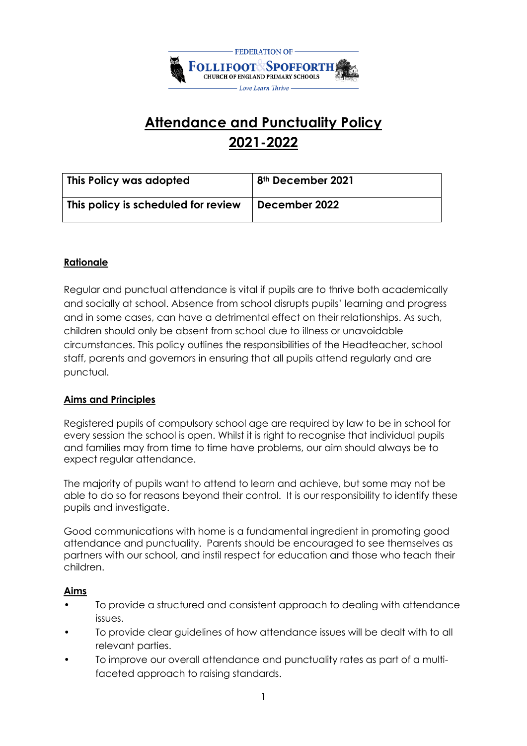

# **Attendance and Punctuality Policy 2021-2022**

| This Policy was adopted             | <sup>1</sup> 8 <sup>th</sup> December 2021 |
|-------------------------------------|--------------------------------------------|
| This policy is scheduled for review | December 2022                              |

## **Rationale**

Regular and punctual attendance is vital if pupils are to thrive both academically and socially at school. Absence from school disrupts pupils' learning and progress and in some cases, can have a detrimental effect on their relationships. As such, children should only be absent from school due to illness or unavoidable circumstances. This policy outlines the responsibilities of the Headteacher, school staff, parents and governors in ensuring that all pupils attend regularly and are punctual.

## **Aims and Principles**

Registered pupils of compulsory school age are required by law to be in school for every session the school is open. Whilst it is right to recognise that individual pupils and families may from time to time have problems, our aim should always be to expect regular attendance.

The majority of pupils want to attend to learn and achieve, but some may not be able to do so for reasons beyond their control. It is our responsibility to identify these pupils and investigate.

Good communications with home is a fundamental ingredient in promoting good attendance and punctuality. Parents should be encouraged to see themselves as partners with our school, and instil respect for education and those who teach their children.

## **Aims**

- To provide a structured and consistent approach to dealing with attendance issues.
- To provide clear guidelines of how attendance issues will be dealt with to all relevant parties.
- To improve our overall attendance and punctuality rates as part of a multifaceted approach to raising standards.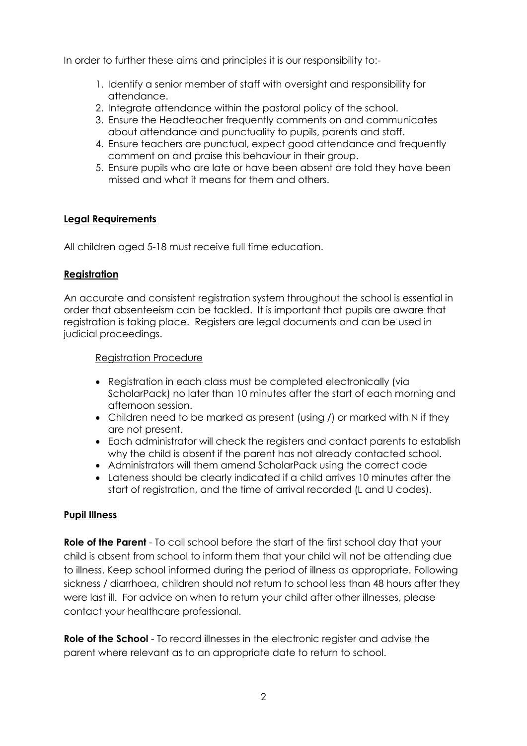In order to further these aims and principles it is our responsibility to:-

- 1. Identify a senior member of staff with oversight and responsibility for attendance.
- 2. Integrate attendance within the pastoral policy of the school.
- 3. Ensure the Headteacher frequently comments on and communicates about attendance and punctuality to pupils, parents and staff.
- 4. Ensure teachers are punctual, expect good attendance and frequently comment on and praise this behaviour in their group.
- 5. Ensure pupils who are late or have been absent are told they have been missed and what it means for them and others.

#### **Legal Requirements**

All children aged 5-18 must receive full time education.

#### **Registration**

An accurate and consistent registration system throughout the school is essential in order that absenteeism can be tackled. It is important that pupils are aware that registration is taking place. Registers are legal documents and can be used in judicial proceedings.

#### Registration Procedure

- Registration in each class must be completed electronically (via ScholarPack) no later than 10 minutes after the start of each morning and afternoon session.
- Children need to be marked as present (using /) or marked with N if they are not present.
- Each administrator will check the registers and contact parents to establish why the child is absent if the parent has not already contacted school.
- Administrators will them amend ScholarPack using the correct code
- Lateness should be clearly indicated if a child arrives 10 minutes after the start of registration, and the time of arrival recorded (L and U codes).

#### **Pupil Illness**

**Role of the Parent** - To call school before the start of the first school day that your child is absent from school to inform them that your child will not be attending due to illness. Keep school informed during the period of illness as appropriate. Following sickness / diarrhoea, children should not return to school less than 48 hours after they were last ill. For advice on when to return your child after other illnesses, please contact your healthcare professional.

**Role of the School** - To record illnesses in the electronic register and advise the parent where relevant as to an appropriate date to return to school.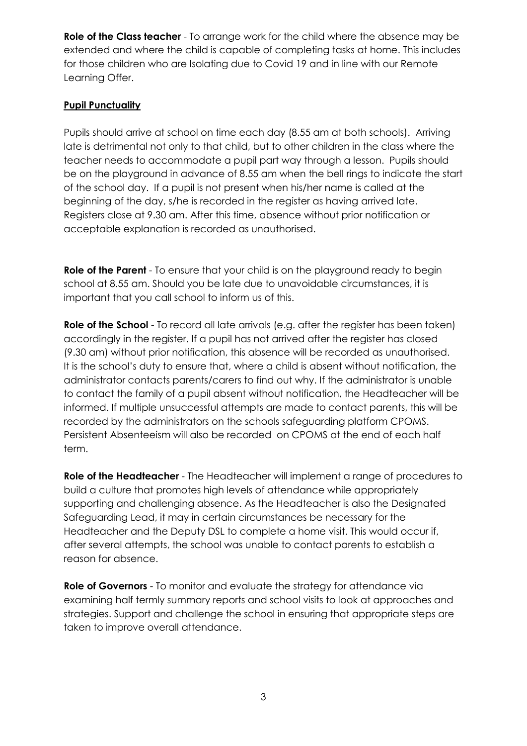**Role of the Class teacher** - To arrange work for the child where the absence may be extended and where the child is capable of completing tasks at home. This includes for those children who are Isolating due to Covid 19 and in line with our Remote Learning Offer.

## **Pupil Punctuality**

Pupils should arrive at school on time each day (8.55 am at both schools). Arriving late is detrimental not only to that child, but to other children in the class where the teacher needs to accommodate a pupil part way through a lesson. Pupils should be on the playground in advance of 8.55 am when the bell rings to indicate the start of the school day. If a pupil is not present when his/her name is called at the beginning of the day, s/he is recorded in the register as having arrived late. Registers close at 9.30 am. After this time, absence without prior notification or acceptable explanation is recorded as unauthorised.

**Role of the Parent** - To ensure that your child is on the playground ready to begin school at 8.55 am. Should you be late due to unavoidable circumstances, it is important that you call school to inform us of this.

**Role of the School** - To record all late arrivals (e.g. after the register has been taken) accordingly in the register. If a pupil has not arrived after the register has closed (9.30 am) without prior notification, this absence will be recorded as unauthorised. It is the school's duty to ensure that, where a child is absent without notification, the administrator contacts parents/carers to find out why. If the administrator is unable to contact the family of a pupil absent without notification, the Headteacher will be informed. If multiple unsuccessful attempts are made to contact parents, this will be recorded by the administrators on the schools safeguarding platform CPOMS. Persistent Absenteeism will also be recorded on CPOMS at the end of each half term.

**Role of the Headteacher** - The Headteacher will implement a range of procedures to build a culture that promotes high levels of attendance while appropriately supporting and challenging absence. As the Headteacher is also the Designated Safeguarding Lead, it may in certain circumstances be necessary for the Headteacher and the Deputy DSL to complete a home visit. This would occur if, after several attempts, the school was unable to contact parents to establish a reason for absence.

**Role of Governors** - To monitor and evaluate the strategy for attendance via examining half termly summary reports and school visits to look at approaches and strategies. Support and challenge the school in ensuring that appropriate steps are taken to improve overall attendance.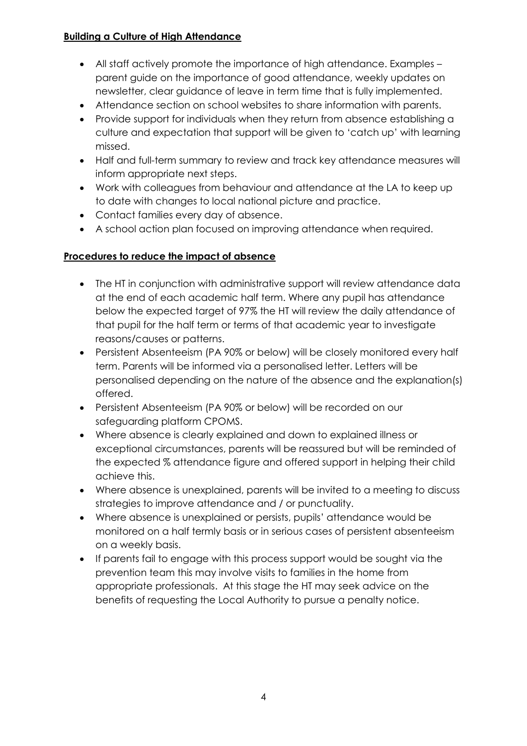## **Building a Culture of High Attendance**

- All staff actively promote the importance of high attendance. Examples parent guide on the importance of good attendance, weekly updates on newsletter, clear guidance of leave in term time that is fully implemented.
- Attendance section on school websites to share information with parents.
- Provide support for individuals when they return from absence establishing a culture and expectation that support will be given to 'catch up' with learning missed.
- Half and full-term summary to review and track key attendance measures will inform appropriate next steps.
- Work with colleagues from behaviour and attendance at the LA to keep up to date with changes to local national picture and practice.
- Contact families every day of absence.
- A school action plan focused on improving attendance when required.

## **Procedures to reduce the impact of absence**

- The HT in conjunction with administrative support will review attendance data at the end of each academic half term. Where any pupil has attendance below the expected target of 97% the HT will review the daily attendance of that pupil for the half term or terms of that academic year to investigate reasons/causes or patterns.
- Persistent Absenteeism (PA 90% or below) will be closely monitored every half term. Parents will be informed via a personalised letter. Letters will be personalised depending on the nature of the absence and the explanation(s) offered.
- Persistent Absenteeism (PA 90% or below) will be recorded on our safeguarding platform CPOMS.
- Where absence is clearly explained and down to explained illness or exceptional circumstances, parents will be reassured but will be reminded of the expected % attendance figure and offered support in helping their child achieve this.
- Where absence is unexplained, parents will be invited to a meeting to discuss strategies to improve attendance and / or punctuality.
- Where absence is unexplained or persists, pupils' attendance would be monitored on a half termly basis or in serious cases of persistent absenteeism on a weekly basis.
- If parents fail to engage with this process support would be sought via the prevention team this may involve visits to families in the home from appropriate professionals. At this stage the HT may seek advice on the benefits of requesting the Local Authority to pursue a penalty notice.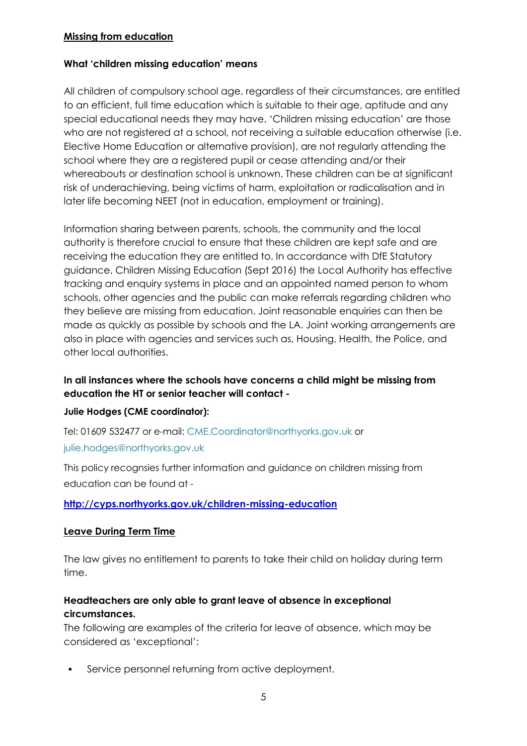#### **Missing from education**

#### **What 'children missing education' means**

All children of compulsory school age, regardless of their circumstances, are entitled to an efficient, full time education which is suitable to their age, aptitude and any special educational needs they may have. 'Children missing education' are those who are not registered at a school, not receiving a suitable education otherwise (i.e. Elective Home Education or alternative provision), are not regularly attending the school where they are a registered pupil or cease attending and/or their whereabouts or destination school is unknown. These children can be at significant risk of underachieving, being victims of harm, exploitation or radicalisation and in later life becoming NEET (not in education, employment or training).

Information sharing between parents, schools, the community and the local authority is therefore crucial to ensure that these children are kept safe and are receiving the education they are entitled to. In accordance with DfE Statutory guidance, Children Missing Education (Sept 2016) the Local Authority has effective tracking and enquiry systems in place and an appointed named person to whom schools, other agencies and the public can make referrals regarding children who they believe are missing from education. Joint reasonable enquiries can then be made as quickly as possible by schools and the LA. Joint working arrangements are also in place with agencies and services such as, Housing, Health, the Police, and other local authorities.

# **In all instances where the schools have concerns a child might be missing from education the HT or senior teacher will contact -**

## **Julie Hodges (CME coordinator):**

Tel: 01609 532477 or e-mail: [CME.Coordinator@northyorks.gov.uk](mailto:CME.Coordinator@northyorks.gov.uk) or [julie.hodges@northyorks.gov.uk](mailto:julie.hodges@northyorks.gov.uk)

This policy recognsies further information and guidance on children missing from education can be found at -

## **<http://cyps.northyorks.gov.uk/children-missing-education>**

#### **Leave During Term Time**

The law gives no entitlement to parents to take their child on holiday during term time.

# **Headteachers are only able to grant leave of absence in exceptional circumstances.**

The following are examples of the criteria for leave of absence, which may be considered as 'exceptional':

Service personnel returning from active deployment.